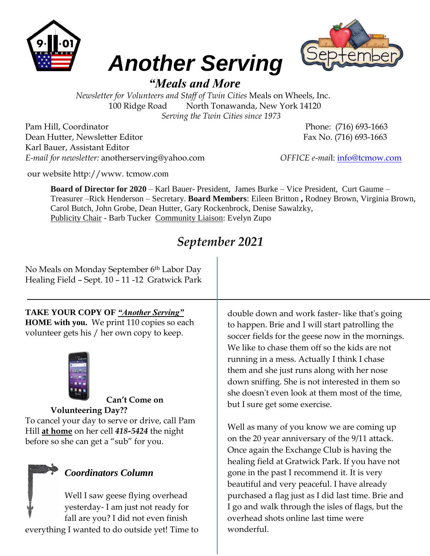



# *Another Serving*  *"Meals and More*

*Newsletter for Volunteers and Staff of Twin Cities* Meals on Wheels, Inc. 100 Ridge Road North Tonawanda, New York 14120 *Serving the Twin Cities since 1973* 

Pam Hill, Coordinator Phone: (716) 693-1663 Dean Hutter, Newsletter Editor Fax No. (716) 693-1663 Karl Bauer, Assistant Editor *E-mail for newsletter:* anotherserving@yahoo.com *OFFICE e-mai*l: [info@tcmow.com](mailto:info@tcmow.com)

our website http://www. tcmow.com

**Board of Director for 2020** – Karl Bauer- President, James Burke – Vice President, Curt Gaume – Treasurer –Rick Henderson – Secretary. **Board Members**: Eileen Britton **,** Rodney Brown, Virginia Brown, Carol Butch, John Grobe, Dean Hutter, Gary Rockenbrock, Denise Sawalzky, Publicity Chair - Barb Tucker Community Liaison: Evelyn Zupo

## *September 2021*

No Meals on Monday September 6th Labor Day Healing Field – Sept. 10 – 11 -12 Gratwick Park

#### **TAKE YOUR COPY OF** *"Another Serving"*

**HOME with you.** We print 110 copies so each volunteer gets his / her own copy to keep.



**Can't Come on Volunteering Day??**

To cancel your day to serve or drive, call Pam Hill **at home** on her cell *418-5424* the night before so she can get a "sub" for you.

## *Coordinators Column*

Well I saw geese flying overhead yesterday- I am just not ready for fall are you? I did not even finish everything I wanted to do outside yet! Time to double down and work faster- like that's going to happen. Brie and I will start patrolling the soccer fields for the geese now in the mornings. We like to chase them off so the kids are not running in a mess. Actually I think I chase them and she just runs along with her nose down sniffing. She is not interested in them so she doesn't even look at them most of the time, but I sure get some exercise.

Well as many of you know we are coming up on the 20 year anniversary of the 9/11 attack. Once again the Exchange Club is having the healing field at Gratwick Park. If you have not gone in the past I recommend it. It is very beautiful and very peaceful. I have already purchased a flag just as I did last time. Brie and I go and walk through the isles of flags, but the overhead shots online last time were wonderful.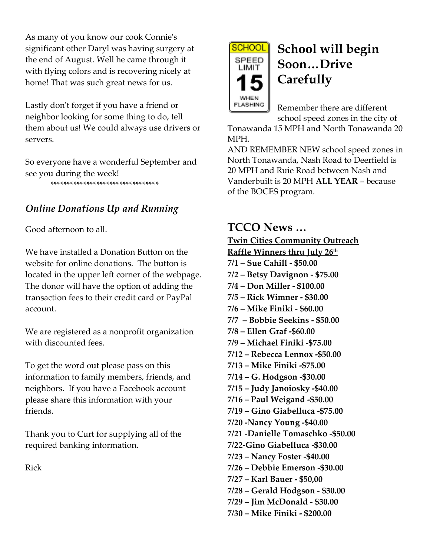As many of you know our cook Connie's significant other Daryl was having surgery at the end of August. Well he came through it with flying colors and is recovering nicely at home! That was such great news for us.

Lastly don't forget if you have a friend or neighbor looking for some thing to do, tell them about us! We could always use drivers or servers.

So everyone have a wonderful September and see you during the week! \*\*\*\*\*\*\*\*\*\*\*\*\*\*\*\*\*\*\*\*\*\*\*\*\*\*\*\*\*\*\*\*\*

## *Online Donations Up and Running*

Good afternoon to all.

We have installed a Donation Button on the website for online donations. The button is located in the upper left corner of the webpage. The donor will have the option of adding the transaction fees to their credit card or PayPal account.

We are registered as a nonprofit organization with discounted fees.

To get the word out please pass on this information to family members, friends, and neighbors. If you have a Facebook account please share this information with your friends.

Thank you to Curt for supplying all of the required banking information.

Rick



## **School will begin Soon…Drive Carefully**

Remember there are different school speed zones in the city of

Tonawanda 15 MPH and North Tonawanda 20 MPH.

AND REMEMBER NEW school speed zones in North Tonawanda, Nash Road to Deerfield is 20 MPH and Ruie Road between Nash and Vanderbuilt is 20 MPH **ALL YEAR** – because of the BOCES program.

## **TCCO News …**

**Twin Cities Community Outreach Raffle Winners thru July 26th 7/1 – Sue Cahill - \$50.00 7/2 – Betsy Davignon - \$75.00 7/4 – Don Miller - \$100.00 7/5 – Rick Wimner - \$30.00 7/6 – Mike Finiki - \$60.00 7/7 – Bobbie Seekins - \$50.00 7/8 – Ellen Graf -\$60.00 7/9 – Michael Finiki -\$75.00 7/12 – Rebecca Lennox -\$50.00 7/13 – Mike Finiki -\$75.00 7/14 – G. Hodgson -\$30.00 7/15 – Judy Janoiosky -\$40.00 7/16 – Paul Weigand -\$50.00 7/19 – Gino Giabelluca -\$75.00 7/20 -Nancy Young -\$40.00 7/21 -Danielle Tomaschko -\$50.00 7/22-Gino Giabelluca -\$30.00 7/23 – Nancy Foster -\$40.00 7/26 – Debbie Emerson -\$30.00 7/27 – Karl Bauer - \$50,00 7/28 – Gerald Hodgson - \$30.00 7/29 – Jim McDonald - \$30.00 7/30 – Mike Finiki - \$200.00**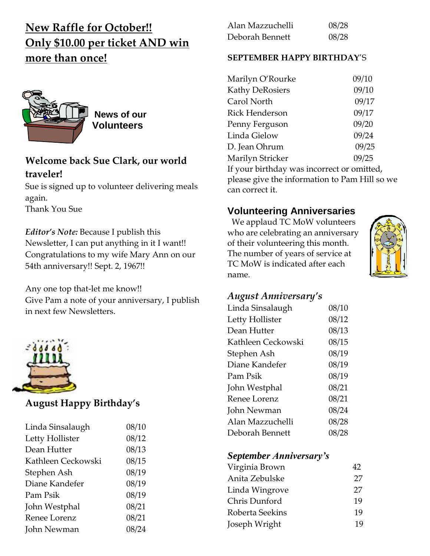## **New Raffle for October!! Only \$10.00 per ticket AND win more than once!**



**News of our Volunteers** 

## **Welcome back Sue Clark, our world traveler!**

Sue is signed up to volunteer delivering meals again.

Thank You Sue

*Editor's Note:* Because I publish this Newsletter, I can put anything in it I want!! Congratulations to my wife Mary Ann on our 54th anniversary!! Sept. 2, 1967!!

Any one top that-let me know!! Give Pam a note of your anniversary, I publish in next few Newsletters.



## **August Happy Birthday's**

| 08/10 |
|-------|
| 08/12 |
| 08/13 |
| 08/15 |
| 08/19 |
| 08/19 |
| 08/19 |
| 08/21 |
| 08/21 |
| 08/24 |
|       |

| Alan Mazzuchelli | 08/28 |
|------------------|-------|
| Deborah Bennett  | 08/28 |

#### **SEPTEMBER HAPPY BIRTHDAY**'S

| 09/10 |
|-------|
| 09/10 |
| 09/17 |
| 09/17 |
| 09/20 |
| 09/24 |
| 09/25 |
| 09/25 |
|       |

If your birthday was incorrect or omitted, please give the information to Pam Hill so we can correct it.

## **Volunteering Anniversaries**

 We applaud TC MoW volunteers who are celebrating an anniversary of their volunteering this month. The number of years of service at TC MoW is indicated after each name.



## *August Anniversary's*

| 08/10 |
|-------|
| 08/12 |
| 08/13 |
| 08/15 |
| 08/19 |
| 08/19 |
| 08/19 |
| 08/21 |
| 08/21 |
| 08/24 |
| 08/28 |
| 08/28 |
|       |

#### *September Anniversary's*

| Virginia Brown  | 42 |
|-----------------|----|
| Anita Zebulske  | 27 |
| Linda Wingrove  | 27 |
| Chris Dunford   | 19 |
| Roberta Seekins | 19 |
| Joseph Wright   | 19 |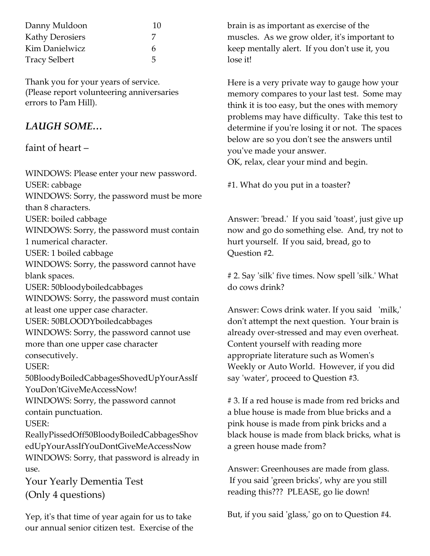| Danny Muldoon          | 10 |
|------------------------|----|
| <b>Kathy Derosiers</b> | 7  |
| Kim Danielwicz         | 6  |
| <b>Tracy Selbert</b>   | 5  |

Thank you for your years of service. (Please report volunteering anniversaries errors to Pam Hill).

## *LAUGH SOME…*

#### faint of heart –

WINDOWS: Please enter your new password. USER: cabbage WINDOWS: Sorry, the password must be more than 8 characters. USER: boiled cabbage WINDOWS: Sorry, the password must contain 1 numerical character. USER: 1 boiled cabbage WINDOWS: Sorry, the password cannot have blank spaces. USER: 50bloodyboiledcabbages WINDOWS: Sorry, the password must contain at least one upper case character. USER: 50BLOODYboiledcabbages WINDOWS: Sorry, the password cannot use more than one upper case character consecutively. USER: 50BloodyBoiledCabbagesShovedUpYourAssIf YouDon'tGiveMeAccessNow! WINDOWS: Sorry, the password cannot contain punctuation. USER: ReallyPissedOff50BloodyBoiledCabbagesShov edUpYourAssIfYouDontGiveMeAccessNow WINDOWS: Sorry, that password is already in use. Your Yearly Dementia Test (Only 4 questions)

Yep, it's that time of year again for us to take our annual senior citizen test. Exercise of the

brain is as important as exercise of the muscles. As we grow older, it's important to keep mentally alert. If you don't use it, you lose it!

Here is a very private way to gauge how your memory compares to your last test. Some may think it is too easy, but the ones with memory problems may have difficulty. Take this test to determine if you're losing it or not. The spaces below are so you don't see the answers until you've made your answer. OK, relax, clear your mind and begin.

#1. What do you put in a toaster?

Answer: 'bread.' If you said 'toast', just give up now and go do something else. And, try not to hurt yourself. If you said, bread, go to Question #2.

# 2. Say 'silk' five times. Now spell 'silk.' What do cows drink?

Answer: Cows drink water. If you said 'milk,' don't attempt the next question. Your brain is already over-stressed and may even overheat. Content yourself with reading more appropriate literature such as Women's Weekly or Auto World. However, if you did say 'water', proceed to Question #3.

# 3. If a red house is made from red bricks and a blue house is made from blue bricks and a pink house is made from pink bricks and a black house is made from black bricks, what is a green house made from?

Answer: Greenhouses are made from glass. If you said 'green bricks', why are you still reading this??? PLEASE, go lie down!

But, if you said 'glass,' go on to Question #4.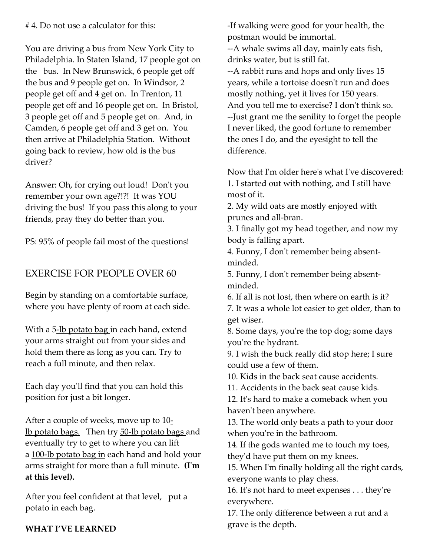#### # 4. Do not use a calculator for this:

You are driving a bus from New York City to Philadelphia. In Staten Island, 17 people got on the bus. In New Brunswick, 6 people get off the bus and 9 people get on. In Windsor, 2 people get off and 4 get on. In Trenton, 11 people get off and 16 people get on. In Bristol, 3 people get off and 5 people get on. And, in Camden, 6 people get off and 3 get on. You then arrive at Philadelphia Station. Without going back to review, how old is the bus driver?

Answer: Oh, for crying out loud! Don't you remember your own age?!?! It was YOU driving the bus! If you pass this along to your friends, pray they do better than you.

PS: 95% of people fail most of the questions!

## EXERCISE FOR PEOPLE OVER 60

Begin by standing on a comfortable surface, where you have plenty of room at each side.

With a 5-lb potato bag in each hand, extend your arms straight out from your sides and hold them there as long as you can. Try to reach a full minute, and then relax.

Each day you'll find that you can hold this position for just a bit longer.

After a couple of weeks, move up to 10lb potato bags. Then try 50-lb potato bags and eventually try to get to where you can lift a 100-lb potato bag in each hand and hold your arms straight for more than a full minute. **(I'm at this level).**

After you feel confident at that level, put a potato in each bag.

#### **WHAT I'VE LEARNED**

-If walking were good for your health, the postman would be immortal. --A whale swims all day, mainly eats fish, drinks water, but is still fat. --A rabbit runs and hops and only lives 15 years, while a tortoise doesn't run and does mostly nothing, yet it lives for 150 years. And you tell me to exercise? I don't think so. --Just grant me the senility to forget the people I never liked, the good fortune to remember the ones I do, and the eyesight to tell the difference.

Now that I'm older here's what I've discovered: 1. I started out with nothing, and I still have most of it.

2. My wild oats are mostly enjoyed with prunes and all-bran.

3. I finally got my head together, and now my body is falling apart.

4. Funny, I don't remember being absentminded.

5. Funny, I don't remember being absentminded.

6. If all is not lost, then where on earth is it?

7. It was a whole lot easier to get older, than to get wiser.

8. Some days, you're the top dog; some days you're the hydrant.

9. I wish the buck really did stop here; I sure could use a few of them.

10. Kids in the back seat cause accidents.

11. Accidents in the back seat cause kids.

12. It's hard to make a comeback when you haven't been anywhere.

13. The world only beats a path to your door when you're in the bathroom.

14. If the gods wanted me to touch my toes, they'd have put them on my knees.

15. When I'm finally holding all the right cards, everyone wants to play chess.

16. It's not hard to meet expenses . . . they're everywhere.

17. The only difference between a rut and a grave is the depth.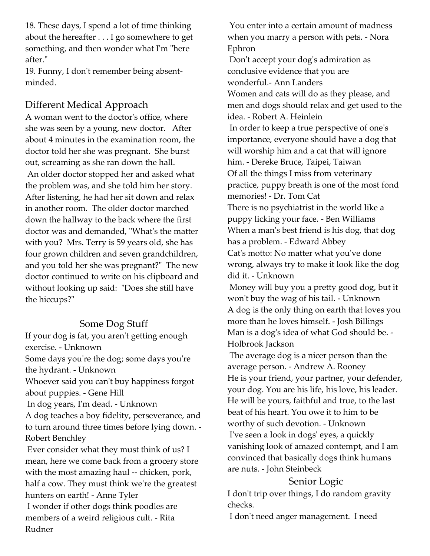18. These days, I spend a lot of time thinking about the hereafter . . . I go somewhere to get something, and then wonder what I'm "here after."

19. Funny, I don't remember being absentminded.

#### Different Medical Approach

A woman went to the doctor's office, where she was seen by a young, new doctor. After about 4 minutes in the examination room, the doctor told her she was pregnant. She burst out, screaming as she ran down the hall.

An older doctor stopped her and asked what the problem was, and she told him her story. After listening, he had her sit down and relax in another room. The older doctor marched down the hallway to the back where the first doctor was and demanded, "What's the matter with you? Mrs. Terry is 59 years old, she has four grown children and seven grandchildren, and you told her she was pregnant?" The new doctor continued to write on his clipboard and without looking up said: "Does she still have the hiccups?"

#### Some Dog Stuff

If your dog is fat, you aren't getting enough exercise. - Unknown Some days you're the dog; some days you're the hydrant. - Unknown Whoever said you can't buy happiness forgot about puppies. - Gene Hill In dog years, I'm dead. - Unknown A dog teaches a boy fidelity, perseverance, and to turn around three times before lying down. - Robert Benchley Ever consider what they must think of us? I mean, here we come back from a grocery store with the most amazing haul -- chicken, pork, half a cow. They must think we're the greatest hunters on earth! - Anne Tyler I wonder if other dogs think poodles are members of a weird religious cult. - Rita Rudner

You enter into a certain amount of madness when you marry a person with pets. - Nora Ephron

Don't accept your dog's admiration as conclusive evidence that you are wonderful.- Ann Landers Women and cats will do as they please, and men and dogs should relax and get used to the idea. - Robert A. Heinlein In order to keep a true perspective of one's importance, everyone should have a dog that will worship him and a cat that will ignore him. - Dereke Bruce, Taipei, Taiwan Of all the things I miss from veterinary practice, puppy breath is one of the most fond memories! - Dr. Tom Cat There is no psychiatrist in the world like a puppy licking your face. - Ben Williams When a man's best friend is his dog, that dog has a problem. - Edward Abbey Cat's motto: No matter what you've done wrong, always try to make it look like the dog did it. - Unknown

Money will buy you a pretty good dog, but it won't buy the wag of his tail. - Unknown A dog is the only thing on earth that loves you more than he loves himself. - Josh Billings Man is a dog's idea of what God should be. - Holbrook Jackson

The average dog is a nicer person than the average person. - Andrew A. Rooney He is your friend, your partner, your defender, your dog. You are his life, his love, his leader. He will be yours, faithful and true, to the last beat of his heart. You owe it to him to be worthy of such devotion. - Unknown I've seen a look in dogs' eyes, a quickly vanishing look of amazed contempt, and I am convinced that basically dogs think humans are nuts. - John Steinbeck

#### Senior Logic

I don't trip over things, I do random gravity checks.

I don't need anger management. I need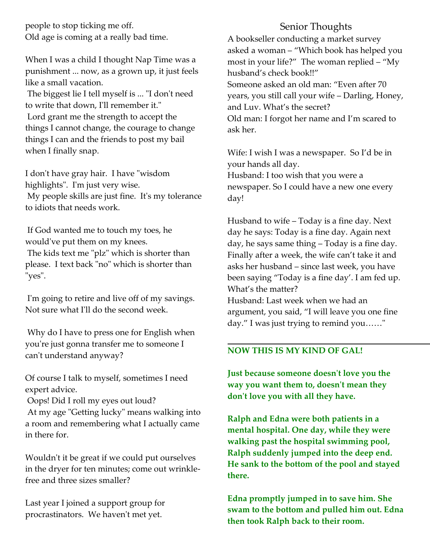people to stop ticking me off. Old age is coming at a really bad time.

When I was a child I thought Nap Time was a punishment ... now, as a grown up, it just feels like a small vacation.

The biggest lie I tell myself is ... "I don't need to write that down, I'll remember it." Lord grant me the strength to accept the things I cannot change, the courage to change things I can and the friends to post my bail when I finally snap.

I don't have gray hair. I have "wisdom highlights". I'm just very wise. My people skills are just fine. It's my tolerance to idiots that needs work.

If God wanted me to touch my toes, he would've put them on my knees. The kids text me "plz" which is shorter than please. I text back "no" which is shorter than "yes".

I'm going to retire and live off of my savings. Not sure what I'll do the second week.

Why do I have to press one for English when you're just gonna transfer me to someone I can't understand anyway?

Of course I talk to myself, sometimes I need expert advice.

Oops! Did I roll my eyes out loud?

At my age "Getting lucky" means walking into a room and remembering what I actually came in there for.

Wouldn't it be great if we could put ourselves in the dryer for ten minutes; come out wrinklefree and three sizes smaller?

Last year I joined a support group for procrastinators. We haven't met yet.

#### Senior Thoughts

A bookseller conducting a market survey asked a woman – "Which book has helped you most in your life?" The woman replied – "My husband's check book!!" Someone asked an old man: "Even after 70 years, you still call your wife – Darling, Honey, and Luv. What's the secret? Old man: I forgot her name and I'm scared to ask her.

Wife: I wish I was a newspaper. So I'd be in your hands all day. Husband: I too wish that you were a newspaper. So I could have a new one every day!

Husband to wife – Today is a fine day. Next day he says: Today is a fine day. Again next day, he says same thing – Today is a fine day. Finally after a week, the wife can't take it and asks her husband – since last week, you have been saying "Today is a fine day'. I am fed up. What's the matter?

Husband: Last week when we had an argument, you said, "I will leave you one fine day." I was just trying to remind you……"

#### **NOW THIS IS MY KIND OF GAL!**

**Just because someone doesn't love you the way you want them to, doesn't mean they don't love you with all they have.** 

**Ralph and Edna were both patients in a mental hospital. One day, while they were walking past the hospital swimming pool, Ralph suddenly jumped into the deep end. He sank to the bottom of the pool and stayed there.**

**Edna promptly jumped in to save him. She swam to the bottom and pulled him out. Edna then took Ralph back to their room.**